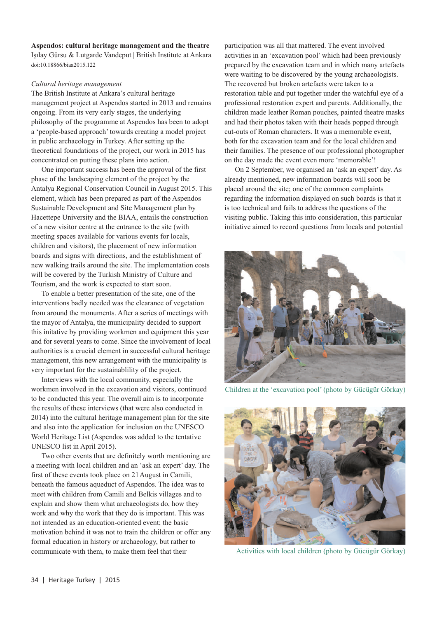## **Aspendos: cultural heritage management and the theatre**

Işılay Gürsu & Lutgarde Vandeput | British Institute at Ankara doi:10.18866/biaa2015.122

## *Cultural heritage management*

The British Institute at Ankara's cultural heritage management project at Aspendos started in 2013 and remains ongoing. From its very early stages, the underlying philosophy of the programme at Aspendos has been to adopt a 'people-based approach' towards creating a model project in public archaeology in Turkey. After setting up the theoretical foundations of the project, our work in 2015 has concentrated on putting these plans into action.

One important success has been the approval of the first phase of the landscaping element of the project by the Antalya Regional Conservation Council in August 2015. This element, which has been prepared as part of the Aspendos Sustainable Development and Site Management plan by Hacettepe University and the BIAA, entails the construction of a new visitor centre at the entrance to the site (with meeting spaces available for various events for locals, children and visitors), the placement of new information boards and signs with directions, and the establishment of new walking trails around the site. The implementation costs will be covered by the Turkish Ministry of Culture and Tourism, and the work is expected to start soon.

To enable a better presentation of the site, one of the interventions badly needed was the clearance of vegetation from around the monuments. After a series of meetings with the mayor of Antalya, the municipality decided to support this initative by providing workmen and equipment this year and for several years to come. Since the involvement of local authorities is a crucial element in successful cultural heritage management, this new arrangement with the municipality is very important for the sustainablility of the project.

Interviews with the local community, especially the workmen involved in the excavation and visitors, continued to be conducted this year. The overall aim is to incorporate the results of these interviews (that were also conducted in 2014) into the cultural heritage management plan for the site and also into the application for inclusion on the UNESCO World Heritage List (Aspendos was added to the tentative UNESCO list in April 2015).

Two other events that are definitely worth mentioning are a meeting with local children and an 'ask an expert' day. The first of these events took place on 21August in Camili, beneath the famous aqueduct of Aspendos. The idea was to meet with children from Camili and Belkis villages and to explain and show them what archaeologists do, how they work and why the work that they do is important. This was not intended as an education-oriented event; the basic motivation behind it was not to train the children or offer any formal education in history or archaeology, but rather to communicate with them, to make them feel that their

participation was all that mattered. The event involved activities in an 'excavation pool' which had been previously prepared by the excavation team and in which many artefacts were waiting to be discovered by the young archaeologists. The recovered but broken artefacts were taken to a restoration table and put together under the watchful eye of a professional restoration expert and parents. Additionally, the children made leather Roman pouches, painted theatre masks and had their photos taken with their heads popped through cut-outs of Roman characters. It was a memorable event, both for the excavation team and for the local children and their families. The presence of our professional photographer on the day made the event even more 'memorable'!

On 2 September, we organised an 'ask an expert' day. As already mentioned, new information boards will soon be placed around the site; one of the common complaints regarding the information displayed on such boards is that it is too technical and fails to address the questions of the visiting public. Taking this into consideration, this particular initiative aimed to record questions from locals and potential



Children at the 'excavation pool' (photo by Gücügür Görkay)



Activities with local children (photo by Gücügür Görkay)